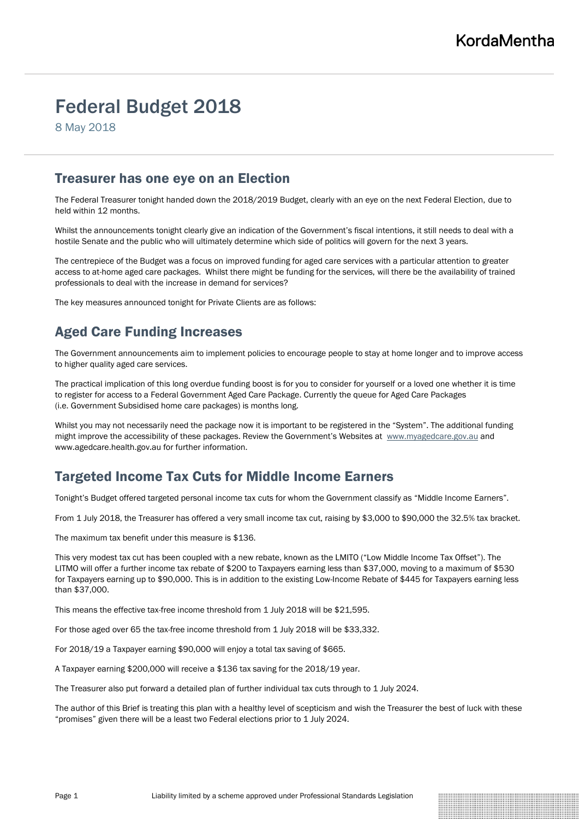# Federal Budget 2018

8 May 2018

### Treasurer has one eye on an Election

The Federal Treasurer tonight handed down the 2018/2019 Budget, clearly with an eye on the next Federal Election, due to held within 12 months.

Whilst the announcements tonight clearly give an indication of the Government's fiscal intentions, it still needs to deal with a hostile Senate and the public who will ultimately determine which side of politics will govern for the next 3 years.

The centrepiece of the Budget was a focus on improved funding for aged care services with a particular attention to greater access to at-home aged care packages. Whilst there might be funding for the services, will there be the availability of trained professionals to deal with the increase in demand for services?

The key measures announced tonight for Private Clients are as follows:

# Aged Care Funding Increases

The Government announcements aim to implement policies to encourage people to stay at home longer and to improve access to higher quality aged care services.

The practical implication of this long overdue funding boost is for you to consider for yourself or a loved one whether it is time to register for access to a Federal Government Aged Care Package. Currently the queue for Aged Care Packages (i.e. Government Subsidised home care packages) is months long.

Whilst you may not necessarily need the package now it is important to be registered in the "System". The additional funding might improve the accessibility of these packages. Review the Government's Websites at [www.myagedcare.gov.au](http://www.myagedcare.gov.au/) and www.agedcare.health.gov.au for further information.

# Targeted Income Tax Cuts for Middle Income Earners

Tonight's Budget offered targeted personal income tax cuts for whom the Government classify as "Middle Income Earners".

From 1 July 2018, the Treasurer has offered a very small income tax cut, raising by \$3,000 to \$90,000 the 32.5% tax bracket.

The maximum tax benefit under this measure is \$136.

This very modest tax cut has been coupled with a new rebate, known as the LMITO ("Low Middle Income Tax Offset"). The LITMO will offer a further income tax rebate of \$200 to Taxpayers earning less than \$37,000, moving to a maximum of \$530 for Taxpayers earning up to \$90,000. This is in addition to the existing Low-Income Rebate of \$445 for Taxpayers earning less than \$37,000.

This means the effective tax-free income threshold from 1 July 2018 will be \$21,595.

For those aged over 65 the tax-free income threshold from 1 July 2018 will be \$33,332.

For 2018/19 a Taxpayer earning \$90,000 will enjoy a total tax saving of \$665.

A Taxpayer earning \$200,000 will receive a \$136 tax saving for the 2018/19 year.

The Treasurer also put forward a detailed plan of further individual tax cuts through to 1 July 2024.

The author of this Brief is treating this plan with a healthy level of scepticism and wish the Treasurer the best of luck with these "promises" given there will be a least two Federal elections prior to 1 July 2024.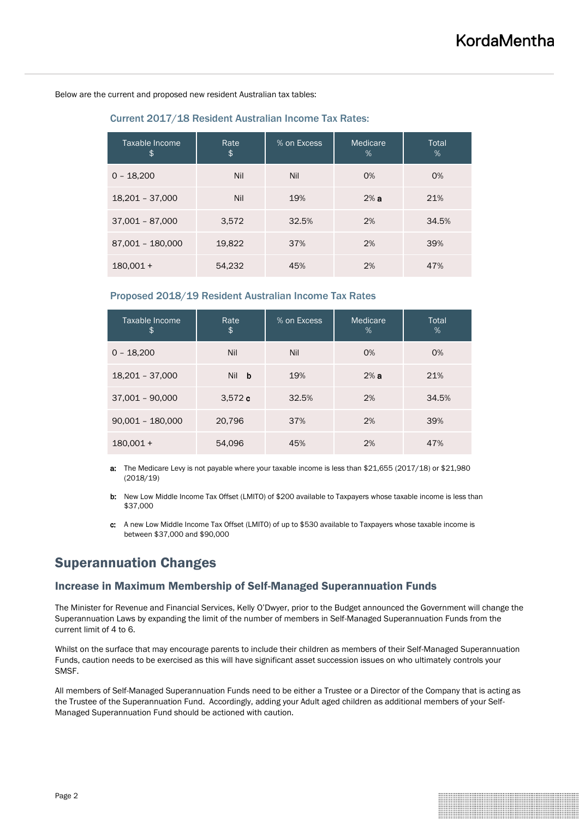Below are the current and proposed new resident Australian tax tables:

Current 2017/18 Resident Australian Income Tax Rates:

| Taxable Income<br>\$ | Rate<br>\$ | % on Excess | Medicare<br>% | Total<br>% |
|----------------------|------------|-------------|---------------|------------|
| $0 - 18,200$         | Nil        | Nil         | 0%            | 0%         |
| 18,201 - 37,000      | Nil        | 19%         | 2%a           | 21%        |
| $37,001 - 87,000$    | 3,572      | 32.5%       | 2%            | 34.5%      |
| 87,001 - 180,000     | 19,822     | 37%         | 2%            | 39%        |
| $180.001 +$          | 54,232     | 45%         | 2%            | 47%        |

#### Proposed 2018/19 Resident Australian Income Tax Rates

| Taxable Income<br>\$ | Rate<br>\$      | % on Excess | Medicare<br>% | Total<br>% |
|----------------------|-----------------|-------------|---------------|------------|
| $0 - 18,200$         | Nil             | Nil         | 0%            | 0%         |
| 18,201 - 37,000      | <b>Nil</b><br>b | 19%         | 2%a           | 21%        |
| $37,001 - 90,000$    | 3,572c          | 32.5%       | 2%            | 34.5%      |
| $90,001 - 180,000$   | 20,796          | 37%         | 2%            | 39%        |
| $180,001 +$          | 54,096          | 45%         | 2%            | 47%        |

- a: The Medicare Levy is not payable where your taxable income is less than \$21,655 (2017/18) or \$21,980 (2018/19)
- b: New Low Middle Income Tax Offset (LMITO) of \$200 available to Taxpayers whose taxable income is less than \$37,000
- c: A new Low Middle Income Tax Offset (LMITO) of up to \$530 available to Taxpayers whose taxable income is between \$37,000 and \$90,000

### Superannuation Changes

#### Increase in Maximum Membership of Self-Managed Superannuation Funds

The Minister for Revenue and Financial Services, Kelly O'Dwyer, prior to the Budget announced the Government will change the Superannuation Laws by expanding the limit of the number of members in Self-Managed Superannuation Funds from the current limit of 4 to 6.

Whilst on the surface that may encourage parents to include their children as members of their Self-Managed Superannuation Funds, caution needs to be exercised as this will have significant asset succession issues on who ultimately controls your SMSF.

All members of Self-Managed Superannuation Funds need to be either a Trustee or a Director of the Company that is acting as the Trustee of the Superannuation Fund. Accordingly, adding your Adult aged children as additional members of your Self-Managed Superannuation Fund should be actioned with caution.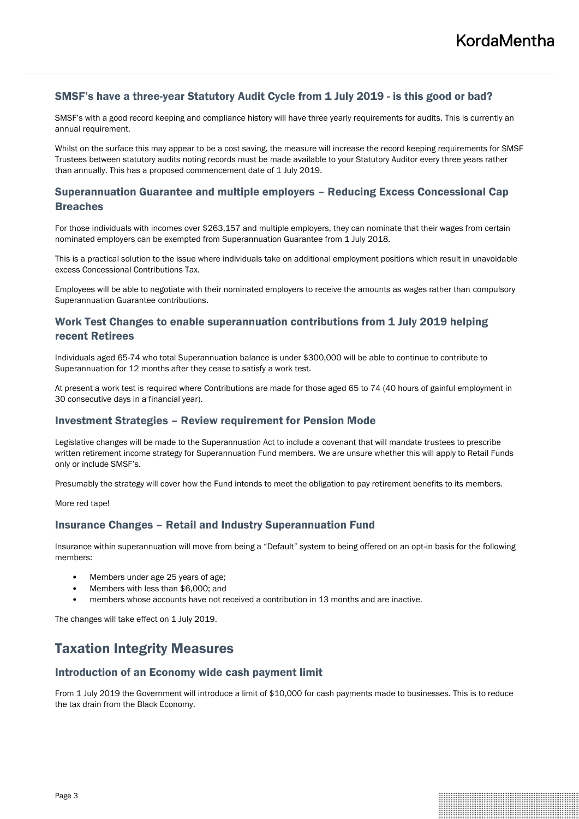#### SMSF's have a three-year Statutory Audit Cycle from 1 July 2019 - is this good or bad?

SMSF's with a good record keeping and compliance history will have three yearly requirements for audits. This is currently an annual requirement.

Whilst on the surface this may appear to be a cost saving, the measure will increase the record keeping requirements for SMSF Trustees between statutory audits noting records must be made available to your Statutory Auditor every three years rather than annually. This has a proposed commencement date of 1 July 2019.

#### Superannuation Guarantee and multiple employers – Reducing Excess Concessional Cap Breaches

For those individuals with incomes over \$263,157 and multiple employers, they can nominate that their wages from certain nominated employers can be exempted from Superannuation Guarantee from 1 July 2018.

This is a practical solution to the issue where individuals take on additional employment positions which result in unavoidable excess Concessional Contributions Tax.

Employees will be able to negotiate with their nominated employers to receive the amounts as wages rather than compulsory Superannuation Guarantee contributions.

#### Work Test Changes to enable superannuation contributions from 1 July 2019 helping recent Retirees

Individuals aged 65-74 who total Superannuation balance is under \$300,000 will be able to continue to contribute to Superannuation for 12 months after they cease to satisfy a work test.

At present a work test is required where Contributions are made for those aged 65 to 74 (40 hours of gainful employment in 30 consecutive days in a financial year).

#### Investment Strategies – Review requirement for Pension Mode

Legislative changes will be made to the Superannuation Act to include a covenant that will mandate trustees to prescribe written retirement income strategy for Superannuation Fund members. We are unsure whether this will apply to Retail Funds only or include SMSF's.

Presumably the strategy will cover how the Fund intends to meet the obligation to pay retirement benefits to its members.

More red tape!

#### Insurance Changes – Retail and Industry Superannuation Fund

Insurance within superannuation will move from being a "Default" system to being offered on an opt-in basis for the following members:

- Members under age 25 years of age;
- Members with less than \$6,000; and
- members whose accounts have not received a contribution in 13 months and are inactive.

The changes will take effect on 1 July 2019.

# Taxation Integrity Measures

#### Introduction of an Economy wide cash payment limit

From 1 July 2019 the Government will introduce a limit of \$10,000 for cash payments made to businesses. This is to reduce the tax drain from the Black Economy.